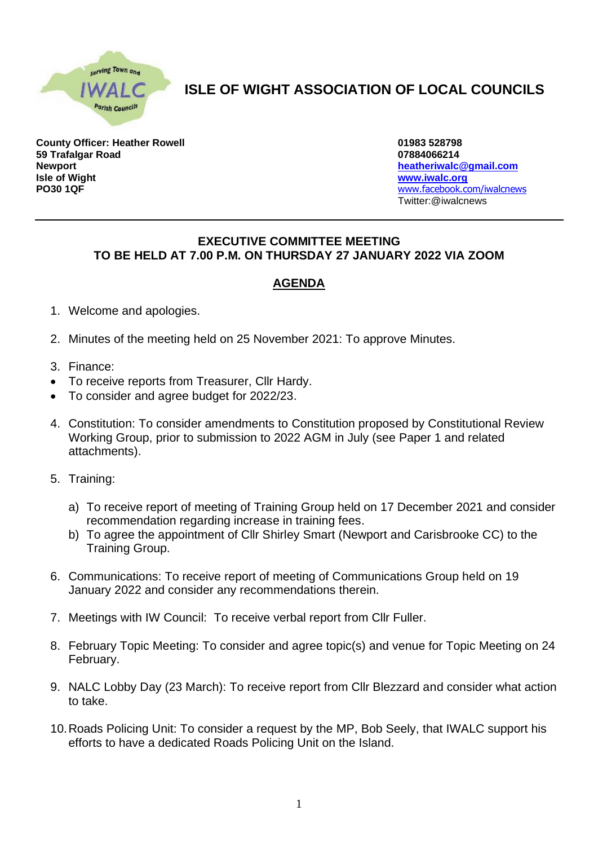

## **ISLE OF WIGHT ASSOCIATION OF LOCAL COUNCILS**

**County Officer: Heather Rowell 01983 528798 59 Trafalgar Road 07884066214 Newport [heatheriwalc@gmail.com](mailto:heatheriwalc@gmail.com) Isle of Wight [www.iwalc.org](http://www.iwalc.org/) PO30 1QF** [www.facebook.com/iwalcnews](http://www.facebook.com/iwalcnews)

Twitter:@iwalcnews

## **EXECUTIVE COMMITTEE MEETING TO BE HELD AT 7.00 P.M. ON THURSDAY 27 JANUARY 2022 VIA ZOOM**

## **AGENDA**

- 1. Welcome and apologies.
- 2. Minutes of the meeting held on 25 November 2021: To approve Minutes.
- 3. Finance:
- To receive reports from Treasurer, Cllr Hardy.
- To consider and agree budget for 2022/23.
- 4. Constitution: To consider amendments to Constitution proposed by Constitutional Review Working Group, prior to submission to 2022 AGM in July (see Paper 1 and related attachments).
- 5. Training:
	- a) To receive report of meeting of Training Group held on 17 December 2021 and consider recommendation regarding increase in training fees.
	- b) To agree the appointment of Cllr Shirley Smart (Newport and Carisbrooke CC) to the Training Group.
- 6. Communications: To receive report of meeting of Communications Group held on 19 January 2022 and consider any recommendations therein.
- 7. Meetings with IW Council: To receive verbal report from Cllr Fuller.
- 8. February Topic Meeting: To consider and agree topic(s) and venue for Topic Meeting on 24 February.
- 9. NALC Lobby Day (23 March): To receive report from Cllr Blezzard and consider what action to take.
- 10.Roads Policing Unit: To consider a request by the MP, Bob Seely, that IWALC support his efforts to have a dedicated Roads Policing Unit on the Island.